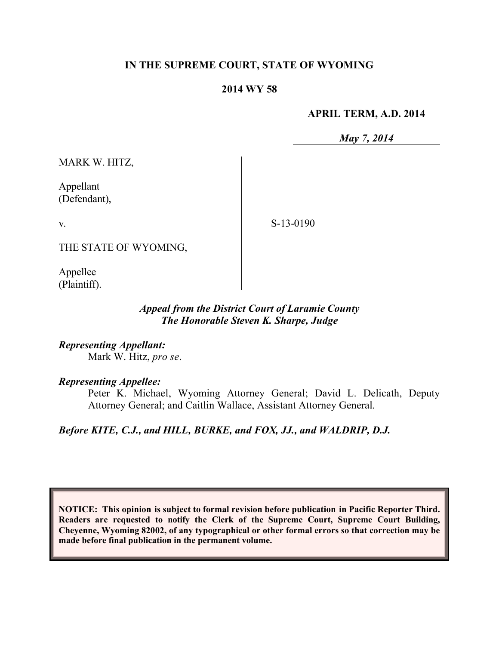## **IN THE SUPREME COURT, STATE OF WYOMING**

### **2014 WY 58**

#### **APRIL TERM, A.D. 2014**

*May 7, 2014*

MARK W. HITZ,

Appellant (Defendant),

v.

S-13-0190

THE STATE OF WYOMING,

Appellee (Plaintiff).

## *Appeal from the District Court of Laramie County The Honorable Steven K. Sharpe, Judge*

*Representing Appellant:* Mark W. Hitz, *pro se*.

### *Representing Appellee:*

Peter K. Michael, Wyoming Attorney General; David L. Delicath, Deputy Attorney General; and Caitlin Wallace, Assistant Attorney General.

*Before KITE, C.J., and HILL, BURKE, and FOX, JJ., and WALDRIP, D.J.*

**NOTICE: This opinion is subject to formal revision before publication in Pacific Reporter Third. Readers are requested to notify the Clerk of the Supreme Court, Supreme Court Building, Cheyenne, Wyoming 82002, of any typographical or other formal errors so that correction may be made before final publication in the permanent volume.**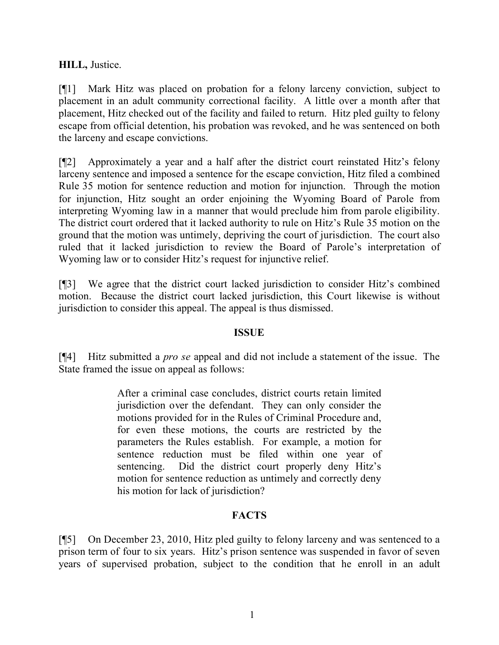# **HILL,** Justice.

[¶1] Mark Hitz was placed on probation for a felony larceny conviction, subject to placement in an adult community correctional facility. A little over a month after that placement, Hitz checked out of the facility and failed to return. Hitz pled guilty to felony escape from official detention, his probation was revoked, and he was sentenced on both the larceny and escape convictions.

[¶2] Approximately a year and a half after the district court reinstated Hitz's felony larceny sentence and imposed a sentence for the escape conviction, Hitz filed a combined Rule 35 motion for sentence reduction and motion for injunction. Through the motion for injunction, Hitz sought an order enjoining the Wyoming Board of Parole from interpreting Wyoming law in a manner that would preclude him from parole eligibility. The district court ordered that it lacked authority to rule on Hitz's Rule 35 motion on the ground that the motion was untimely, depriving the court of jurisdiction. The court also ruled that it lacked jurisdiction to review the Board of Parole's interpretation of Wyoming law or to consider Hitz's request for injunctive relief.

[¶3] We agree that the district court lacked jurisdiction to consider Hitz's combined motion. Because the district court lacked jurisdiction, this Court likewise is without jurisdiction to consider this appeal. The appeal is thus dismissed.

# **ISSUE**

[¶4] Hitz submitted a *pro se* appeal and did not include a statement of the issue. The State framed the issue on appeal as follows:

> After a criminal case concludes, district courts retain limited jurisdiction over the defendant. They can only consider the motions provided for in the Rules of Criminal Procedure and, for even these motions, the courts are restricted by the parameters the Rules establish. For example, a motion for sentence reduction must be filed within one year of sentencing. Did the district court properly deny Hitz's motion for sentence reduction as untimely and correctly deny his motion for lack of jurisdiction?

# **FACTS**

[¶5] On December 23, 2010, Hitz pled guilty to felony larceny and was sentenced to a prison term of four to six years. Hitz's prison sentence was suspended in favor of seven years of supervised probation, subject to the condition that he enroll in an adult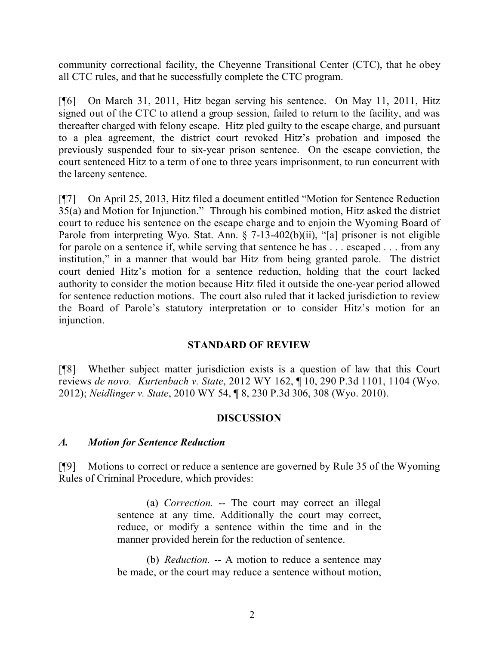community correctional facility, the Cheyenne Transitional Center (CTC), that he obey all CTC rules, and that he successfully complete the CTC program.

[¶6] On March 31, 2011, Hitz began serving his sentence. On May 11, 2011, Hitz signed out of the CTC to attend a group session, failed to return to the facility, and was thereafter charged with felony escape. Hitz pled guilty to the escape charge, and pursuant to a plea agreement, the district court revoked Hitz's probation and imposed the previously suspended four to six-year prison sentence. On the escape conviction, the court sentenced Hitz to a term of one to three years imprisonment, to run concurrent with the larceny sentence.

[¶7] On April 25, 2013, Hitz filed a document entitled "Motion for Sentence Reduction 35(a) and Motion for Injunction." Through his combined motion, Hitz asked the district court to reduce his sentence on the escape charge and to enjoin the Wyoming Board of Parole from interpreting Wyo. Stat. Ann. § 7-13-402(b)(ii), "[a] prisoner is not eligible for parole on a sentence if, while serving that sentence he has . . . escaped . . . from any institution," in a manner that would bar Hitz from being granted parole. The district court denied Hitz's motion for a sentence reduction, holding that the court lacked authority to consider the motion because Hitz filed it outside the one-year period allowed for sentence reduction motions. The court also ruled that it lacked jurisdiction to review the Board of Parole's statutory interpretation or to consider Hitz's motion for an injunction.

# **STANDARD OF REVIEW**

[¶8] Whether subject matter jurisdiction exists is a question of law that this Court reviews *de novo. Kurtenbach v. State*, 2012 WY 162, ¶ 10, 290 P.3d 1101, 1104 (Wyo. 2012); *Neidlinger v. State*, 2010 WY 54, ¶ 8, 230 P.3d 306, 308 (Wyo. 2010).

# **DISCUSSION**

### *A. Motion for Sentence Reduction*

[¶9] Motions to correct or reduce a sentence are governed by Rule 35 of the Wyoming Rules of Criminal Procedure, which provides:

> (a) *Correction.* -- The court may correct an illegal sentence at any time. Additionally the court may correct, reduce, or modify a sentence within the time and in the manner provided herein for the reduction of sentence.

> (b) *Reduction.* -- A motion to reduce a sentence may be made, or the court may reduce a sentence without motion,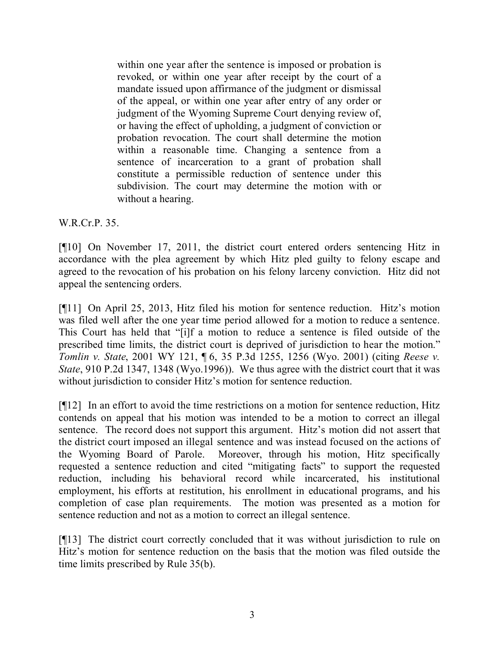within one year after the sentence is imposed or probation is revoked, or within one year after receipt by the court of a mandate issued upon affirmance of the judgment or dismissal of the appeal, or within one year after entry of any order or judgment of the Wyoming Supreme Court denying review of, or having the effect of upholding, a judgment of conviction or probation revocation. The court shall determine the motion within a reasonable time. Changing a sentence from a sentence of incarceration to a grant of probation shall constitute a permissible reduction of sentence under this subdivision. The court may determine the motion with or without a hearing.

W.R.Cr.P. 35.

[¶10] On November 17, 2011, the district court entered orders sentencing Hitz in accordance with the plea agreement by which Hitz pled guilty to felony escape and agreed to the revocation of his probation on his felony larceny conviction. Hitz did not appeal the sentencing orders.

[¶11] On April 25, 2013, Hitz filed his motion for sentence reduction. Hitz's motion was filed well after the one year time period allowed for a motion to reduce a sentence. This Court has held that "[i]f a motion to reduce a sentence is filed outside of the prescribed time limits, the district court is deprived of jurisdiction to hear the motion." *Tomlin v. State*, 2001 WY 121, ¶ 6, 35 P.3d 1255, 1256 (Wyo. 2001) (citing *Reese v. State*, 910 P.2d 1347, 1348 (Wyo.1996)). We thus agree with the district court that it was without jurisdiction to consider Hitz's motion for sentence reduction.

[¶12] In an effort to avoid the time restrictions on a motion for sentence reduction, Hitz contends on appeal that his motion was intended to be a motion to correct an illegal sentence. The record does not support this argument. Hitz's motion did not assert that the district court imposed an illegal sentence and was instead focused on the actions of the Wyoming Board of Parole. Moreover, through his motion, Hitz specifically requested a sentence reduction and cited "mitigating facts" to support the requested reduction, including his behavioral record while incarcerated, his institutional employment, his efforts at restitution, his enrollment in educational programs, and his completion of case plan requirements. The motion was presented as a motion for sentence reduction and not as a motion to correct an illegal sentence.

[¶13] The district court correctly concluded that it was without jurisdiction to rule on Hitz's motion for sentence reduction on the basis that the motion was filed outside the time limits prescribed by Rule 35(b).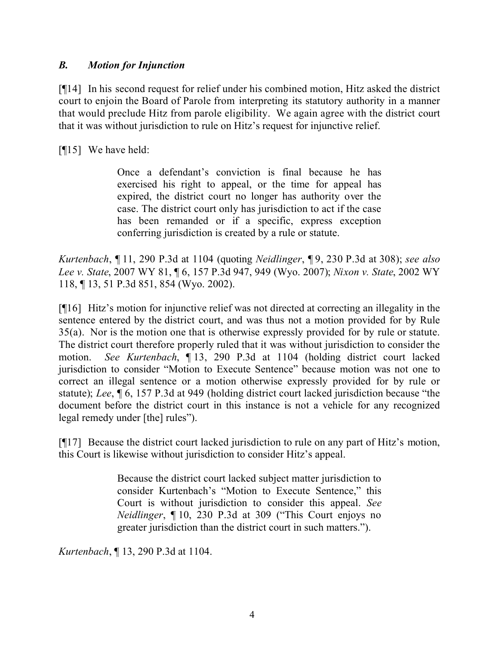# *B. Motion for Injunction*

[¶14] In his second request for relief under his combined motion, Hitz asked the district court to enjoin the Board of Parole from interpreting its statutory authority in a manner that would preclude Hitz from parole eligibility. We again agree with the district court that it was without jurisdiction to rule on Hitz's request for injunctive relief.

[¶15] We have held:

Once a defendant's conviction is final because he has exercised his right to appeal, or the time for appeal has expired, the district court no longer has authority over the case. The district court only has jurisdiction to act if the case has been remanded or if a specific, express exception conferring jurisdiction is created by a rule or statute.

*Kurtenbach*, ¶ 11, 290 P.3d at 1104 (quoting *Neidlinger*, ¶ 9, 230 P.3d at 308); *see also Lee v. State*, 2007 WY 81, ¶ 6, 157 P.3d 947, 949 (Wyo. 2007); *Nixon v. State*, 2002 WY 118, ¶ 13, 51 P.3d 851, 854 (Wyo. 2002).

[¶16] Hitz's motion for injunctive relief was not directed at correcting an illegality in the sentence entered by the district court, and was thus not a motion provided for by Rule 35(a). Nor is the motion one that is otherwise expressly provided for by rule or statute. The district court therefore properly ruled that it was without jurisdiction to consider the motion. *See Kurtenbach*, ¶ 13, 290 P.3d at 1104 (holding district court lacked jurisdiction to consider "Motion to Execute Sentence" because motion was not one to correct an illegal sentence or a motion otherwise expressly provided for by rule or statute); *Lee*, ¶ 6, 157 P.3d at 949 (holding district court lacked jurisdiction because "the document before the district court in this instance is not a vehicle for any recognized legal remedy under [the] rules").

[¶17] Because the district court lacked jurisdiction to rule on any part of Hitz's motion, this Court is likewise without jurisdiction to consider Hitz's appeal.

> Because the district court lacked subject matter jurisdiction to consider Kurtenbach's "Motion to Execute Sentence," this Court is without jurisdiction to consider this appeal. *See Neidlinger*, ¶ 10, 230 P.3d at 309 ("This Court enjoys no greater jurisdiction than the district court in such matters.").

*Kurtenbach*, ¶ 13, 290 P.3d at 1104.